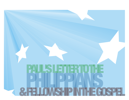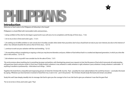## PANS

#### **Introduction**

Welcome to *Paul's Letter to the Philippians & Fellowship in the Gospel!*

Philippians is a book filled with memorable truths and promises...

*"...being confident of this, that he who began a good work in you will carry it on to completion until the day of Christ Jesus..."* (1:6)

*"...For to me, to live is Christ and to die is gain..."* (1:21)

*"...Do nothing out of selfish ambition or vain conceit, but in humility consider others better than yourselves. Each of you should look not only to your own interests, but also to the interests of others. Your attitude should be the same as that of Christ Jesus..."* (2:3-5)

**1**

*"...continue to work out your salvation with fear and trembling..."* (2:12)

"...Do everything without complaining or arguing, so that you may become blameless and pure, children of God without fault in a crooked and depraved generation, in which you shine like *stars in the universe..."* (2:14, 15)

*"...But whatever was to my profit I now consider loss for the sake of Christ..."* (3:7)

*"Do not be anxious about anything, but in everything, by prayer and petition, with thanksgiving, present your requests to God. And the peace of God, which transcends all understanding,*  will guard your hearts and your minds in Christ Jesus. Finally, brothers, whatever is true, whatever is noble, whatever is right, whatever is pure, whatever is lovely, whatever is admirable—if *anything is excellent or praiseworthy—think about such things..."* (4:6-8)

Together this book forms a beautiful and engrossing picture of what the Christian life *must* be. Paul—possibly the most radical believer the world has known—concludes this book by saying, *"Whatever you have learned or received or heard from me, or seen in me—put it into practice."* No Christian should study this book and remain unscathed.

Study this well. Gaze deeply, steadily into its message. Ask God to give you the courage to live it out. Ask God to give you whatever it was that He gave Paul.

*"For to me to live is Christ, and to die is gain."* Paul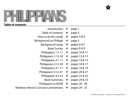## P2 <u> Lind</u> ĺ.  $\Box$  $\blacktriangleright$

## **Table of contents**

| Introduction               | $\bigstar$ | page 1        |
|----------------------------|------------|---------------|
| Table of contents          | $\bigstar$ | page 2        |
| How to do this study       | $\bigstar$ | pages 3 & 4   |
| Background on Philippi     | $\bigstar$ | page 5        |
| <b>Background study</b>    | $\bigstar$ | pages 6 & 7   |
| <b>Book Survey</b>         | $\bigstar$ | pages 8 & 9   |
| Philippians 1:1-11         | $\bigstar$ | pages 10 & 11 |
| Philippians 1:12-30        | $\bigstar$ | pages 12 & 13 |
| Philippians 2:1-11         | $\bigstar$ | pages 14 & 15 |
| Philippians 2:12-30        | $\bigstar$ | pages 16 & 17 |
| Philippians 3:1-11         | $\bigstar$ | pages 18 & 19 |
| Philippians 3:12-4:1       | $\bigstar$ | pages 20 & 21 |
| Philippians 4:2-23         | $\bigstar$ | pages 22 & 23 |
| <b>Book Summary</b>        | $\bigstar$ | pages 24 & 25 |
| <b>Philippians in NASB</b> | ★          | pages 26 - 28 |
|                            |            |               |

Matthew Henry's Concise Commentary  $\star$  pages 29 - 32

**2**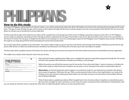## HAN

### **How to do this study**

This study of Philippians will basically be an *inductive* study; i.e., you will be using several study tools, which will enable you to discover the meaning of each passage and the entire book. This type of study will help you gain a firmer grasp on the Scripture through self-discovery. It will also prepare you to be a strong student of the Word for the rest of your life. Below we will give you an introduction to these study tools.

The first study will actually *not* be inductive, but, rather, will be a guided look at the background of the church in Philippi using other Scriptures, which refer to it. The Philippian church's origins are dramatic and looking at them will help you better understand the message of Paul's letter to this church. Also, Paul refers to this church in his second letter to the church in Corinth. This, too, gives us insight into the letter we are studying, as it serves as a small progress report for the Philippian church. Together, these sections will help set the stage for our study, along with the historical background section that precedes them.

The second study will be a guided survey of the letter. This section ought to help you get an overview of the themes and message of the book; to familiarize yourself with the big picture. After all, this is a letter and would have been intended to be read aloud in one sitting. This is the best way to start any study of an epistle.

The final study will be a guided summary of the letter. This section will help you reconnect the lessons from the letter, distill out key lessons and identify the primary application.

The middle seven studies will be inductive. Here's how you do that.

| $1:1-11$                           | After completing the inductive sections take a moment to consider the following questions and to memorial this week's memory verse.                                                                                                                                                                                      |
|------------------------------------|--------------------------------------------------------------------------------------------------------------------------------------------------------------------------------------------------------------------------------------------------------------------------------------------------------------------------|
| <b>For consideration</b>           | How does Paul identify himself and Timothy? (Does he use the same title in any of his other letters?) is there significance to their identifying themselves in this way?                                                                                                                                                 |
|                                    | What do you think Paul means by "partnership" or "participation" in the gospel?                                                                                                                                                                                                                                          |
|                                    | Paul prays that their love would "abound more and more, with knowledge and all discemment."Why do you think such love would enable them to "discem what is bot!" be "oure and<br>blameless" and be "filled with the fruit of righteousness"? What do you think those three things look like in a community of believers? |
| To memorize<br><b>Observations</b> | "I thank my God every time I remember you. In all my prayers for all of you, I always pray with joy because of your partnership in the gospel from the first day until now, being confident of this,<br>that he who began a good work in you will carry it on to completion until the day of Christ Jesus."Phil. 1:3-6   |
|                                    | Make 10-20+ epict observations in the space below.Remember observations only record what the text says. Avoid premature intercentations and speculations as this would be kensing to a conclusion.                                                                                                                       |
|                                    |                                                                                                                                                                                                                                                                                                                          |
|                                    |                                                                                                                                                                                                                                                                                                                          |
|                                    |                                                                                                                                                                                                                                                                                                                          |
|                                    |                                                                                                                                                                                                                                                                                                                          |
|                                    |                                                                                                                                                                                                                                                                                                                          |
|                                    |                                                                                                                                                                                                                                                                                                                          |
|                                    |                                                                                                                                                                                                                                                                                                                          |
|                                    |                                                                                                                                                                                                                                                                                                                          |
|                                    |                                                                                                                                                                                                                                                                                                                          |

Each study will contain a guided section. Make sure to complete the inductive study before going back through this. This section will have a few questions that will further stimulate your thinking on the passage.

**3**

Within this section you will find the memory verse for the section. If you will commit these 7 verses to memory, it will allow the truths of this study to remain fresh and to transform you for years to come. The goal of this study is transformation after all.

*Observations* are the first things that need to happen in any inductive study. It is very important to remember that observations answer the question, "What does this say." Often our preconceived notions limit us most significantly in our study of the Scripture. If you will commit to making good observations you will make numerous new discoveries and, inevitably, will have your thinking challenged.

Think of observations as gathering evidence. When brought back to the crime lab, evidence should be as untarnished as possible. Any minor oversight can skew conclusions, so, even if you encounter confusing sections, withhold your interpretations until

you can clearly see what the section is saying. The other tools can help bring greater clarity, as can your group discussion.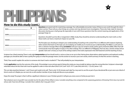## 

## **How to do this study (cont.)**

| <b>Ouestions</b>   |                                                                                                                                                                                                        |
|--------------------|--------------------------------------------------------------------------------------------------------------------------------------------------------------------------------------------------------|
|                    | Record any questions or things that are unclear below. This will help you more dive deeper into the gasquae and will serve your study group during your discussion time.                               |
|                    |                                                                                                                                                                                                        |
|                    |                                                                                                                                                                                                        |
|                    |                                                                                                                                                                                                        |
|                    |                                                                                                                                                                                                        |
|                    |                                                                                                                                                                                                        |
|                    |                                                                                                                                                                                                        |
|                    |                                                                                                                                                                                                        |
| Correlation        |                                                                                                                                                                                                        |
|                    |                                                                                                                                                                                                        |
|                    | Having recorded the raw data and some remaining questions it may be that another gassage will help you understand this one better. Use the space below to record insights from elsewhere in Scripture. |
|                    | Look back at Acts 16. How do you see Lydia, the jailer and their households "partnering" in the gospel immediately (i.e., "from the first day") after their conversion?                                |
|                    |                                                                                                                                                                                                        |
|                    |                                                                                                                                                                                                        |
|                    |                                                                                                                                                                                                        |
|                    |                                                                                                                                                                                                        |
|                    |                                                                                                                                                                                                        |
|                    |                                                                                                                                                                                                        |
| Interpretation     |                                                                                                                                                                                                        |
|                    | You should be in a good place to determine what Paul is saving. Use the space below to record a brief summary of what this passage is savings something you could use to explain it to someone else.   |
|                    |                                                                                                                                                                                                        |
|                    |                                                                                                                                                                                                        |
|                    |                                                                                                                                                                                                        |
|                    |                                                                                                                                                                                                        |
|                    |                                                                                                                                                                                                        |
|                    |                                                                                                                                                                                                        |
|                    |                                                                                                                                                                                                        |
| <b>Application</b> |                                                                                                                                                                                                        |
|                    | This mady should change your life Using your interpretation, record below the most natural way this passage must be lived out. Also, thoughtfully answer the supplemental question(s).                 |
|                    |                                                                                                                                                                                                        |
|                    |                                                                                                                                                                                                        |
|                    |                                                                                                                                                                                                        |
|                    |                                                                                                                                                                                                        |
|                    | Looking at your life, would you say you have reason for confidence that you will be "partnering" in the advance of the gospel for the rest of your life? Explain.                                      |
|                    |                                                                                                                                                                                                        |
|                    | What habits, other priorities, sins or distractions wony you about your life, and how do you intend to overcome in these areas?                                                                        |
|                    |                                                                                                                                                                                                        |
|                    |                                                                                                                                                                                                        |

*Questions* are great tools for examining a passage. You will probably encounter many of these as you work through the observation section. These tell you what things are unclear and may demand more investigation. These also help make for dynamic discussion during your small group. Be especially in tune with those questions that the central meaning and application of the passage hinge on.

**4**

Questions shouldn't just be idle or tangential. In Bible study, they should be aimed at understanding the main truths *so that* these truths can have a maximum impact on your life.

The first place you should go to deepen your understanding of *anything* is the *context!* This is no different with Scripture. Exploring other sections that teach on the topic you are studying can enable you to round out your understanding. The Bible is a unit and contains a cohesive message. When doing *correlation* work your way out: sentence, book, author, genre, testament, Bible. Often Paul will communicate more thoroughly on topics in his other writings. This is no different in Philippians. Paul was also a Jewish scholar and an apostle ("sent one") of Jesus, so much of his writing is built on the truths expressed in the Old Testament and the teaching of Jesus.

Scripture has a fixed meaning. There is only right *interpretation* and we should work to arrive as close as we can to that. Having done observations, asked questions and explored corollary passages you should be able to have a pretty firm grasp on what the passage means. Use this section to record, in your own words, a brief summary of what this section is teaching.

Think, "How would I explain this section to someone who hasn't read or studied it?" That will probably be your interpretation.

Finally, **application** must be the outcome of the study. If knowledge is your primary goal of doing this study, you may actually be taking a step the wrong direction. Scripture is downright redundant about the fact that truth must be applied in order to have real value! (Deut 32:47; Josh 1:8; Ps 19:11; Luke 6:46; John 8:32; 1 Cor. 8:2; James 1:22).

This can take anywhere between 1 and 3 hours each week to do well. That is only 10-30 minutes each day! You may want to use this as part of your devotional life or just carve out a block of time to work on it. Maybe you can even do so with another member of your study and discuss as you prepare.

Enjoy this study. The prayer is that it will be a significant milestone in your Christian growth. It will give you every ounce of what you put into it.

*"But whatever was to my profit I now consider loss for the sake of Christ. What is more, I consider everything a loss compared to the surpassing greatness of knowing Christ Jesus my Lord, for whose sake I have lost all things. I consider them rubbish, that I may gain Christ."*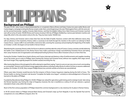## **Background on Philippi**

The year is 42 BC. Julius Caesar is dead; assassinated by co-conspirators Marcus Brutus and Gaius Cassius two years earlier. Brutus and Cassius began a campaign to bring the Roman empire under their control beginning in the east. Pitted against them, with the same aim are the second triumverate−Lepidus, Octavian, Mark Antony−and their formidable military force. Mark Antony and Octavian marched east with an army of nearly 100,000. Brutus and Cassius encamp in hill city of Philippi; shielded by a narrow pass between marshes and steep hills, which is the only western entry to the city. They, too, have nearly 100,000 men.

For days, Antony and Octavian seek to draw their foes into the field of battle. However, content with their defensive stance, they will not advance. In the meantime, Antony orders a causeway to be built through the marshes in the south in an attempt to flank Cassius' forces. Cassius sniffs it out and builds a transverse dam, severing the causeway and prompting the beginning of the battle on October 3, 42 BC: *the largest civil war battle in Roman history!*

Abandoning the causeway, Antony orders his forces to advance, and they take the camp of Cassius. Cassius commits suicide, believing the battle is lost. Unbeknownst to him, Brutus' forces have made a premature charge; overwhelming Octavian's forces and taking their camp. However, lack of organization and widespread looting by Brutus' forces allow Octavian's army to re-form their line.

During the October 3 battle, forces loyal to Brutus and Cassius intercept and destroy a ship of reinforcements and supplies traveling across the Ionian sea en route to Philippi. Upon hearing this, Antony and Octavian know, without new supplies, their siege cannot last much longer. They urgently prepare for another assault; encircling the city.

After twenty days Brutus is forced, against his will, to attempt to repel them saying, "I seem to carry on war now, not so much commanding as commanded." Antony's and Octavian's troops aggressively advance, refusing to allow Brutus to reform his lines or assume a defensive position. On October 23, 42 BC, they conquer Philippi. Brutus, too, commits suicide as his forces are overwhelmed.

Fifteen years later, Octavian would become the first emperor of Rome (Caesar Augustus); reigning during the birth of Jesus. The Roman battle cry during Octavian's rule became "Complete the battle once begun"–certainly an acknowledgement of lessons he learned on the plains of Philippi.

Founded by Macedonian King Philipp II in 356 BC, Philippi was valued for agriculture, gold mining and its strategic locale–later along the Roman Egnatian way. During the reign of Augustus, however, the city is resettled as a colony of civil war veterans–a gesture intended to foster unity within the empire.

Much of the first century population of Philippi shared this common background in a city notorious for its place in Roman history.

In 49 AD several visitors to Philippi retraced Mark Antony and Octavian's steps up from Neapolis. It was the Apostle Paul and his companions on a very different conquest. (Acts 16)



**5**



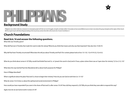

## **Background Study**

Philippians was a letter written by a real person to real people; people with their own set of struggles, strengths and daily realities. Fortunately we have several Biblical sources to learn more about this group of people *We'll try to get in touch with these things by looking at the two primary sections that refer to this church; Acts 16 and 2 Corinthians 8.*

**6**

## **Church Foundations**

#### **Read Acts 16 and answer the following questions.**

What title was Timothy given?

What did Paul see in Timothy that made him want to take him along? What do you think that means and why was that important? (See also Acts 15:36-41)

Why did Paul have Timothy circumcised? What does this tell you about Timothy and Paul? (For context, please look at Acts 15:1-35, 1 Cor 9:19-23, 2 Cor 6:3.)

What do you think about verses 6-10? Why would God forbid Paul and Co. to "preach the word in Asia", and in Troas, a place where there was an "open door for ministry" (2 Cor. 2:12, 13)?

What does the way God led Paul into Macedonia tell us about God's purposes for Philippi?

How is Philippi described?

What is significant about the place Paul and Co. chose to begin their ministry? How do you see God at work here (vv. 13-15)?

What do verses 16-23 show us about the spiritual and social environment in Philippi?

How would you have responded if you were in the shoes of Paul and Co. after verses 19-24? How *did* they respond (v. 25)? Why do you think they were able to respond this way?

Again, how do we see God at work in verses 25-34?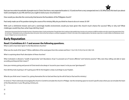Paul saw two entire households of people trust in Christ. One from a very expected location (v. 15) and one from a very unexpected one (v. 33). What does this teach you about God's sovereignty in your life and how you ought to look at your circumstances?

**7**

How would you describe the community that became the foundation of the Philippian church?

Paul rarely made use of his position during the course of his ministry. Why do you think he chose to do so in verses 35-39?

With such a whirlwind mission and such a seemingly hostile environment, would you have given this church much chance for success? Why or why not? What challenges would they face; what hope did they have?

Several years have passed. Paul has founded churches in Thessalonica, Berea, Corinth and elsewhere. Through letters Paul is seeking to help establish these churches as he continues to fulfill his ambition and call; to "pre [is] not known." Eventually he ends up writing these letters from prison. Here we find Paul writing to a confused congregation in Corinth. In the midst of the multiple problems, Paul decides to give them a model to follow: *based in Philippi! See how he describes them.*

## **Early Reputation**

#### **Read 2 Corinthians 8:1-7 and answer the following questions.**

What is said to have been "given" to the Macedonian churches?

What was the result of the "grace"? Write a definition of the word grace from this context and from: 1 Cor 3:10; 15:10; 2 Cor 6:1; 9:8; 12:9.

What is surprising about Paul's description of these churches?

What motivated or allowed a "wealth of generosity" and "abundance of joy" to proceed out of "severe affliction" and "extreme poverty"? Why were they willing and able to "give according and beyond their means"?

Does your ministry, giving and pursuit of Christ tend to be always in "accord to your means" or do you ever "give beyond"?

How did they look at giving (v. 4)? Is giving your life for the kingdom a duty or privilege to you? Explain.

What do you think verse 5 means? (I.e., giving themselves first to God and then, by the will of God, to Paul and his ministry.)

In verses 6, 7 Paul is obviously encouraging the church in Corinth to emulate the church in Philippi. Use the remaining space to record 3 *specific* areas where *you* can emulate the heart of the Macedonians in your life, giving, ministry, etc.

1)

2)

3)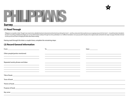

#### **Survey**

#### **(1) Read Through**

Philippians is an epistle or letter. Though it was meant to be a detailed treatment of practical and doctrinal issues facing the church—and thus a document that would serve as an ongoing resource for the church—it would ha be read in one sitting; probably aloud. Begin your survey of this book by reading it through two times; preferably in 2 or 3 different translations. Try to put yourself in the place of an original reader and look for the m *to show you His own heart in bringing this letter about before reading.*

**8**

Having read through this letter a couple times, complete the remaining steps:

#### **(2) Record General Information**

|                                                                                                                                                                                                                             | $\begin{picture}(150,10) \put(0,0){\dashbox{0.5}(10,0){ }} \put(150,0){\circle{10}} \put(150,0){\circle{10}} \put(150,0){\circle{10}} \put(150,0){\circle{10}} \put(150,0){\circle{10}} \put(150,0){\circle{10}} \put(150,0){\circle{10}} \put(150,0){\circle{10}} \put(150,0){\circle{10}} \put(150,0){\circle{10}} \put(150,0){\circle{10}} \put(150,0){\circle{10}} \put(150,$ | Date: $\_\_$                                                                                                                                                                                                                                                                                                                                      |
|-----------------------------------------------------------------------------------------------------------------------------------------------------------------------------------------------------------------------------|-----------------------------------------------------------------------------------------------------------------------------------------------------------------------------------------------------------------------------------------------------------------------------------------------------------------------------------------------------------------------------------|---------------------------------------------------------------------------------------------------------------------------------------------------------------------------------------------------------------------------------------------------------------------------------------------------------------------------------------------------|
| Other people/parties mentioned.<br><u> 1989 - Johann John Stone, markin fizik eta idazlearia (h. 1982).</u>                                                                                                                 | <u> Alexandro de la contrada de la contrada de la contrada de la contrada de la contrada de la contrada de la con</u>                                                                                                                                                                                                                                                             | <u> 1990 - Jan Samuel Barbara, martin da shekara ta 1991 - An tsara tsara tsara tsara tsara tsara tsara tsara tsa</u>                                                                                                                                                                                                                             |
|                                                                                                                                                                                                                             |                                                                                                                                                                                                                                                                                                                                                                                   |                                                                                                                                                                                                                                                                                                                                                   |
| Repeated words, phrases and ideas<br><u> 1989 - Johann Stoff, deutscher Stoff, der Stoff, der Stoff, der Stoff, der Stoff, der Stoff, der Stoff, der S</u><br><u> 1980 - Johann Stein, mars an deutscher Stein († 1980)</u> | <u> 1989 - Andrea Andrew Maria (h. 1989).</u>                                                                                                                                                                                                                                                                                                                                     |                                                                                                                                                                                                                                                                                                                                                   |
| <u> 1999 - Johann Harry Harry Harry Harry Harry Harry Harry Harry Harry Harry Harry Harry Harry Harry Harry Harry H</u>                                                                                                     | <u> 1989 - Andrea San Andrea San Andrea San Andrea San Andrea San Andrea San Andrea San Andrea San Andrea San A</u>                                                                                                                                                                                                                                                               | the control of the control of the control of the control of the control of the control of the control of the control of the control of the control of the control of the control of the control of the control of the control<br>and the control of the control of the control of the control of the control of the control of the control of the |
|                                                                                                                                                                                                                             |                                                                                                                                                                                                                                                                                                                                                                                   |                                                                                                                                                                                                                                                                                                                                                   |
|                                                                                                                                                                                                                             |                                                                                                                                                                                                                                                                                                                                                                                   |                                                                                                                                                                                                                                                                                                                                                   |
|                                                                                                                                                                                                                             |                                                                                                                                                                                                                                                                                                                                                                                   |                                                                                                                                                                                                                                                                                                                                                   |
|                                                                                                                                                                                                                             |                                                                                                                                                                                                                                                                                                                                                                                   |                                                                                                                                                                                                                                                                                                                                                   |
|                                                                                                                                                                                                                             | Key verse experience and the contract of the contract of the contract of the contract of the contract of the contract of the contract of the contract of the contract of the contract of the contract of the contract of the c                                                                                                                                                    |                                                                                                                                                                                                                                                                                                                                                   |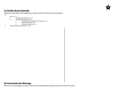#### **(3) Outline Book Topically**

Outline the book below. This will give you a better sense for its flow and connectedness.

**9**

- *EX:* 
	- *I. Intro (vv. 1-11) A. Greetings and salutations (vv. 1, 2)*
		- *B. Thanksgiving and Prayer (vv. 3-11)*
			- *1. Thanksgiving for God's "good work" in them (vv. 3-6)*
			-
			- *2. Paul's love for them (vv. 7, 8) 3. Paul's prayer for them (vv. 9-11)*
- *II. Paul's Personal Ministry Update (vv. 12-30)...*

#### **(4) Summarize the Message**

 $\mathcal{L}_{\mathcal{A}}$ 

Write out a one paragraph summary of the book; something that could be recited in less than 30 seconds.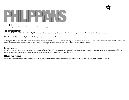

1:1-11<br>After completing the inductive sections, take a moment to consider the following questions and to memorize this week's memory verse.

#### **For consideration**

How does Paul identify himself and Timothy? (Does he use the same title in any of his other letters?) Is there significance to their identifying themselves in this way?

What do you think Paul means by "partnership" or "participation" in the gospel?

Paul prays that their love would "abound more and more, with knowledge and all discernment." Why do you think such love would enable them to "discern what is *best*", be "pure and blameless" and be "filled with the fruit of righteousness"? What do you think those three things look like in a community of believers?

**10**

#### **To memorize**

*"I thank my God every time I remember you. In all my prayers for all of you, I always pray with joy because of your partnership in the gospel from the first day until now, being confident of this, that he who began a good work in you will carry it on to completion until the day of Christ Jesus."* Phil. 1:3-6

## **Observations**

Make 10-20+ strict observations in the space below. Remember, observations only record what the text says. Avoid premature interpretations and speculations, as this would be jumping to a conclusion.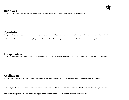#### **Correlation**

Having recorded the raw data and some remaining questions, it may be that another passage will help you understand this one better. Use the space below to record insights from elsewhere in Scripture.

Look back at Acts 16. How do you see Lydia, the jailer and their households "partnering" in the gospel immediately (i.e., "from the first day") after their conversion?

## **Interpretation**

You should be in a good place to determine what Paul is saying. Use the space below to record a brief summary of what this passage is saying; something you could use to explain it to someone else.

### **Application**

This study should change your life. Using your interpretation, record below the most natural way this passage must be lived out. Also, thoughtfully answer the supplemental question(s).

Looking at your life, would you say you have reason for confidence that you will be "partnering" in the advancement of the gospel for the rest of your life? Explain.

What habits, other priorities, sins or distractions worry you about your life, and how do you intend to overcome in these areas?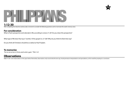## PPANS

**1:12-30** After completing the inductive sections, take a moment to consider the following questions and to memorize this week's memory verse.

#### **For consideration**

What is Paul's perspective and rationale in life, according to verses 21-26? Do you share this perspective?

What type of life does Paul say is "worthy" of the gospel (vv. 27-28)? Why do you think he feels that way?

Do you think all Christians should be as radical as Paul? Explain.

**To memorize** *"For to me to live is Christ, and to die is gain."* Phil. 1:21

## **Observations**

Make 10-20+ strict observations in the space below. Remember, observations only record what the text says. Avoid premature interpretations and speculations, as this would be jumping to a conclusion.

**12**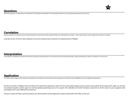

#### **Correlation**

Having recorded the raw data and some remaining questions, it may be that another passage will help you understand this one better. Use the space below to record insights from elsewhere in Scripture.

Look back at Acts 16. How is Paul's attitude in his current imprisonment mirrored in his imprisonment in Philippi?

## **Interpretation**

You should be in a good place to determine what Paul is saying. Use the space below to record a brief summary of what this passage is saying; something you could use to explain it to someone else.

### **Application**

This study should change your life. Using your interpretation, record below the most natural way this passage must be lived out. Also, thoughtfully answer the supplemental question(s).

During his ministry in Philippi, Paul was beaten and imprisoned unjustly, but spent his time incarcerated singing songs of praise and proclaiming the gospel. Here again we see Paul incarcerated unjustly and here again we see Paul joyfully proclaiming Jesus to his captors. This emboldens the other Christians around him to do the same. Do you recognize God's sovereignty even in your difficult circumstances?

Are you so aware of it that, in all circumstances, you demonstrate a similar eagerness to praise and proclaim Him? Why or why not?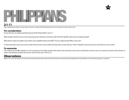## **PANS**

#### **2:1-11**

After completing the inductive sections, take a moment to consider the following questions and to memorize this week's memory verse.

#### **For consideration**

Do you feel you are deeply experiencing any of the things listed in verse 1?

What would it mean for you to more seriously pursue intimate communion with Christ? Be specific: what are you seeking instead?

What does it mean to actually "count others more significant than yoursel[f]"? Do you really do that? Why or why not?

In what ways does Jesus serve as *the* model of how to live in this world? And what does it mean that our "mind"/"attitude" must be the same as His (that it is ours in Him)?

#### **To memorize**

*"Do nothing out of selfish ambition or vain conceit, but in humility consider others better than yourselves. Each of you should look not only to your own interests, but also to the interests of others. Your attitude should be the same as that of Christ Jesus:"* Phil. 2:3-5

**14**

## **Observations**

Make 10-20+ strict observations in the space below. Remember, observations only record what the text says. Avoid premature interpretations and speculations, as this would be jumping to a conclusion.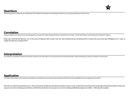

#### **Correlation**

Having recorded the raw data and some remaining questions, it may be that another passage will help you understand this one better. Use the space below to record insights from elsewhere in Scripture.

Read Luke 22:39-46 and Hebrews 12:1-2. The writer of Hebrews tells us that it was "joy" that sustained Jesus and allowed Him to endure the cross. How does Philippians 2:5-11 give us insight into this "joy set before Him"?

## **Interpretation**

You should be in a good place to determine what Paul is saying. Use the space below to record a brief summary of what this passage is saying; something you could use to explain it to someone else.

### **Application**

This study should change your life. Using your interpretation, record below the most natural way this passage must be lived out. Also, thoughtfully answer the supplemental question(s).

Paul seems to take for granted that verse 1 *does* characterize the life of every believer, therefore verses 2-4 can as well. These two things seem inextricably linked. Record below at least one way you can more seriously pursue intimacy with Christ and at least one way you can, in turn, humbly, sacrificially, lovingly serve others—following His example.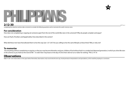## T PEANS

### **2:12-30** After

completing the inductive sections, take a moment to consider the following questions and to memorize this week's memory verse.

#### **For consideration**

How does not complaining or arguing set someone apart from the rest of the world (like stars in the universe!)? Why do people complain and argue?

How are Paul's, Timothy's and Epaphroditus' lives described in this section?

What did these men have that allowed them to live this way (see 1:27-2:4)? Are you willing to live the same lifestyle as these three? Why or why not?

#### **To memorize**

*"Do everything without complaining or arguing, so that you may become blameless and pure, children of God without fault in a crooked and depraved generation, in which you shine like stars in the universe as you hold out the word of life—in order that I may boast on the day of Christ that I did not run or labor for nothing."* Phil. 2:14-16

### **Observations**

Make 10-20+ strict observations in the space below. Remember, observations only record what the text says. Avoid premature interpretations and speculations, as this would be jumping to a conclusion.

**16**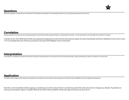

#### **Correlation**

Having recorded the raw data and some remaining questions, it may be that another passage will help you understand this one better. Use the space below to record insights from elsewhere in Scripture.

Look back at Acts 16:25. While Paul and Silas were praying and singing hymns, what were the other prisoners doing? How does that illustrate what Paul is telling this church to do in verses 14-15. Is it possible that some of those very prisoners were part of the Philippian church at this point?

## **Interpretation**

You should be in a good place to determine what Paul is saying. Use the space below to record a brief summary of what this passage is saying; something you could use to explain it to someone else.

### **Application**

This study should change your life. Using your interpretation, record below the most natural way this passage must be lived out. Also, thoughtfully answer the supplemental question(s).

Paul tells us to do "everything" without arguing or complaining. Can that be serious? Strive to put this into practice this week and see how it changes your attitude. Pay attention to when you are tempted to argue or complain. What do you think it will accomplish? And do you really ever have an excuse to do so?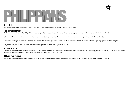## PANS

#### **3:1-11**

After completing the inductive sections, take a moment to consider the following questions and to memorize this week's memory verse.

#### **For consideration**

Paul has been emphasizing humble, selfless love throughout this letter. What do Paul's warnings against legalism in verses 1-3 have to do with this type of love?

Is knowing Christ and making Him known *the* most important thing in your life? What other ambitions are competing in your heart with Him for devotion?

How does Christ's gift on the cross—*"the righteousness that comes through faith in Christ"—*create love and devotion for God that outstrips anything legalism could accomplish?

Do you believe your devotion to Christ is mostly of the legalistic variety or that of gratitude and love?

#### **To memorize**

*"But whatever was to my profit I now consider loss for the sake of Christ. What is more, I consider everything a loss compared to the surpassing greatness of knowing Christ Jesus my Lord, for*  whose sake I have lost all things. I consider them rubbish, that I may gain Christ." Phil. 3:7, 8

**18**

## **Observations**

Make 10-20+ strict observations in the space below. Remember, observations only record what the text says. Avoid premature interpretations and speculations, as this would be jumping to a conclusion.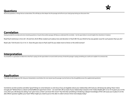

#### **Correlation**

Having recorded the raw data and some remaining questions, it may be that another passage will help you understand this one better. Use the space below to record insights from elsewhere in Scripture.

Read Paul's testimony in Acts 26:1-29 and Acts 20:24. What created such zealous love and devotion in Paul's life? Do you think he has any greater *cause* for such passion than you do?

Read Luke 7:36-50 and 2 Cor. 5:14, 15. Does this give clues to Paul's zeal? Do you relate more to Simon or the sinful woman?

## **Interpretation**

You should be in a good place to determine what Paul is saying. Use the space below to record a brief summary of what this passage is saying; something you could use to explain it to someone else.

### **Application**

This study should change your life. Using your interpretation, record below the most natural way this passage must be lived out. Also, thoughtfully answer the supplemental question(s).

Sometimes we kid ourselves and allow "good" things to come between us and Jesus. If you are legalistic about your relationship with God you will always be asking, "Have I done enough yet?" Behind that is a desire to find fulfillment apart from Christ—we want Him off our back. If your relationship is based on the "indescribable gift" (2 Cor. 9:15) given you on the cross, then you will always be asking, "Can I give more, so that I can know Him more?" Any hint that something is hindering a deeper knowledge of Him will cause you to place it on the alter. Which question typifies your heart? What might you need to put on the alter in order to know Christ more deeply today?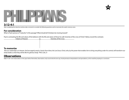



#### **3:12-4:1**

After completing the inductive sections, take a moment to consider the following questions and to memorize this week's memory verse.

#### **For consideration**

What is Paul's picture of "maturity" in this passage? What should all Christians be moving toward?

Paul is contrasting the life and values of the believer with the life and values of those he calls "enemies of the cross of Christ". Below, record the contrasts:

| Citizens of Heaven | VS. | <b>Enemies of the Cross</b> |  |
|--------------------|-----|-----------------------------|--|
|                    |     |                             |  |
|                    |     |                             |  |
|                    |     |                             |  |
|                    |     |                             |  |
|                    |     |                             |  |

#### **To memorize**

*"But our citizenship is in heaven. And we eagerly await a Savior from there, the Lord Jesus Christ, who, by the power that enables him to bring everything under his control, will transform our lowly bodies so that they will be like his glorious body."* Phil. 3:20, 21

## **Observations**

Make 10-20+ strict observations in the space below. Remember, observations only record what the text says. Avoid premature interpretations and speculations, as this would be jumping to a conclusion.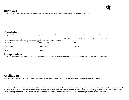

#### **Correlation**

Having recorded the raw data and some remaining questions, it may be that another passage will help you understand this one better. Use the space below to record insights from elsewhere in Scripture.

The Christian's "blessed hope" is "the glorious appearing of our great God and Savior, Jesus Christ". This is very evident in this passage. Read through the following verses, and record a statement about the role of eternity and Christ's appearing in the life of the Christian:

| <b>All All A</b><br>- - |                 |                |
|-------------------------|-----------------|----------------|
| Col. 3:1-4              | 2 Tim. 4:1-8    |                |
| 1 Cor. 3:12-14          | 2 Thes. 1:9, 10 | 1 Pet. 1:7, 13 |
| Mat. 24:29-31           | 1 Thes. 4:16-18 | Tit. 2:11-14   |

## **Interpretation**

You should be in a good place to determine what Paul is saying. Use the space below to record a brief summary of what this passage is saying; something you could use to explain it to someone else.

### **Application**

This study should change your life. Using your interpretation, record below the most natural way this passage must be lived out. Also, thoughtfully answer the supplemental question(s).

The picture of Christian maturity that Paul lays out here seems to be *from* worldly mindedness *to* eternal mindedness; a journey in which you should always be leaving things behind as you strive toward what is ahead. The Christian is to "take hold of that for which Christ Jesus took hold of" them. There *are* things God is asking you to put behind for the sake of knowing Him and making Him known. Ask Jesus what that is in your life. When you think He has shown you, write it below and be prepared to share it with someone.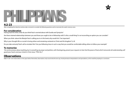

#### **4:2-23**

After completing the inductive sections, take a moment to consider the following questions and to memorize this week's memory verse.

#### **For consideration**

Having read this letter, what do you think Paul is worried about with Euodia and Syntyche?

Are there strained relationships between you and those you ought to be in fellowship with? Is this a small thing? Is *not* reconciling an option you can consider?

When you think about the lifestyle Paul is calling you to in this book, why would 4:6-7 be important?

Why is your thought-life so crucial in loving others and remaining centered on Christ and His kingdom? (v. 8)

Do you take seriously Paul's call to emulate Him? Are you following Jesus in such a way that you would be comfortable telling others to follow your example?

#### **To memorize**

*"Do not be anxious about anything, but in everything, by prayer and petition, with thanksgiving, present your requests to God. And the peace of God, which transcends all understanding, will guard your hearts and your minds in Christ Jesus."* Phil. 4:6, 7

**22**

## **Observations**

Make 10-20+ strict observations in the space below. Remember, observations only record what the text says. Avoid premature interpretations and speculations, as this would be jumping to a conclusion.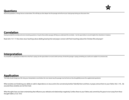

#### **Correlation**

Having recorded the raw data and some remaining questions, it may be that another passage will help you understand this one better. Use the space below to record insights from elsewhere in Scripture.

Read John 15:1-17. How does Jesus' teachings about abiding, bearing fruit and prayer connect with Paul's teachings about the Christian life and prayer?

## **Interpretation**

You should be in a good place to determine what Paul is saying. Use the space below to record a brief summary of what this passage is saying; something you could use to explain it to someone else.

### **Application**

This study should change your life. Using your interpretation, record below the most natural way this passage must be lived out. Also, thoughtfully answer the supplemental question(s).

What anxieties are hindering your ability to walk in dependence on Jesus and to live out eternal priorities? Identify them and then, in prayer, entrust them to your Father (4:6, 7, 19) ... Be assured, these anxieties are not from God.

What thoughts have you been entertaining that influence your attitude and relationships negatively. Confess these to your Father, and, commit by His grace to turn away from these thought habits. (2 Cor. 10:5)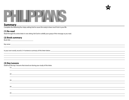



#### **Summary**

Complete the following four steps, asking God to cause this study to bear much fruit in your life.

#### **(1) Re-read**

Read through this entire letter in one sitting. Ask God to solidify your grasp of the message as you read.

#### **(2) Book summary**

Book title:

Key verse: <u>with a set of the set of the set of the set of the set of the set of the set of the set of the set of the set of the set of the set of the set of the set of the set of the set of the set of the set of the set o</u>

l

In your own words, record a 3-4 sentence summary of this letter below

#### **(3) Key Lessons**

Distill out the top 5 lessons that stood out during your study of this letter.  $(1)$ 

| <u> 2008 - Ann an Dùbhlachd ann an Dùbhlachd ann an Dùbhlachd ann an Dùbhlachd ann an Dùbhlachd ann an Dùbhlachd an Dùbhlachd ann an Dùbhlachd ann an Dùbhlachd ann an Dùbhlachd ann an Dùbhlachd ann an Dùbhlachd ann an Dùbhla</u> |  |
|--------------------------------------------------------------------------------------------------------------------------------------------------------------------------------------------------------------------------------------|--|
|                                                                                                                                                                                                                                      |  |
| $\frac{1}{2}$                                                                                                                                                                                                                        |  |
| <u>,一个人的人都不能在这个人的时候,我们就会在这个人的时候,我们就会在这个人的时候,我们就会在这个人的时候,我们就会在这个人的时候,我们就会在这个人的时</u> 候,我们                                                                                                                                              |  |
|                                                                                                                                                                                                                                      |  |
| $\left(3\right)$ $\overline{\phantom{a}}$                                                                                                                                                                                            |  |
|                                                                                                                                                                                                                                      |  |
|                                                                                                                                                                                                                                      |  |
| $\left(4\right)$ $\overline{\phantom{a}}$                                                                                                                                                                                            |  |
|                                                                                                                                                                                                                                      |  |
|                                                                                                                                                                                                                                      |  |
| $(5)$ $\overline{\phantom{a}}$                                                                                                                                                                                                       |  |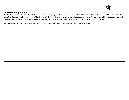

#### **(4) Primary Application**

Your life should never be the same. Not only should this study have helped you "hold true to what you have attained", but it should have challenged you to "strain forward to what lies ahead". Even Paul acknowledged that he hadn't "already obtained" all of what Christ had in store for him. He had not become perfect. Think about something that, based on your study of Philippians, will still characterize you 20 years down the road. Something you can tell your children has characterized you ever since you finished this study.

Be specific enough that you will be able to know if you are or are not following through. Come prepared to share with you study group.

 $\overline{a}$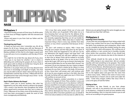

## PHILPPANS **NASB**

#### **Philippians 1**

 1Paul and Timothy, servants of Christ Jesus, To all the saints in Christ Jesus at Philippi, together with the overseers and deacons:

 2Grace and peace to you from God our Father and the Lord Jesus Christ.

#### *Thanksgiving and Prayer*

 3I thank my God every time I remember you. 4In all my prayers for all of you, I always pray with joy 5because of your partnership in the gospel from the first day until now, 6being confident of this, that he who began a good work in you will carry it on to completion until the day of Christ Jesus.

 7It is right for me to feel this way about all of you, since I have you in my heart; for whether I am in chains or defending and confirming the gospel, all of you share in God's grace with me. 8God can testify how I long for all of you with the affection of Christ Jesus.

 9And this is my prayer: that your love may abound more and more in knowledge and depth of insight, 10so that you may be able to discern what is best and may be pure and blameless until the day of Christ, 11filled with the fruit of righteousness that comes through Jesus Christ—to the glory and praise of God.

#### *Paul's Chains Advance the Gospel*

12Now I want you to know, brothers, that what has happened to me has really served to advance the gospel. 13As a result, it has become clear throughout the whole palace guard and to everyone else that I am in chains for Christ. 14Because of my chains, most of the brothers in the Lord have been encouraged to speak the word of God more courageously and fearlessly.

 15It is true that some preach Christ out of envy and rivalry, but others out of goodwill. 16The latter do so in love, knowing that I am put here for the defense of the gospel. 17The former preach Christ out of selfish ambition, not sincerely, supposing that they can stir up trouble for me while I am in chains. 18But what does it matter? The important thing is that in every way, whether from false motives or true, Christ is preached. And because of this I rejoice.

 Yes, and I will continue to rejoice, 19for I know that through your prayers and the help given by the Spirit of Jesus Christ, what has happened to me will turn out for my deliverance. 20I eagerly expect and hope that I will in no way be ashamed, but will have sufficient courage so that now as always Christ will be exalted in my body, whether by life or by death. 21For to me, to live is Christ and to die is gain. 22If I am to go on living in the body, this will mean fruitful labor for me. Yet what shall I choose? I do not know! 23I am torn between the two: I desire to depart and be with Christ, which is better by far; 24but it is more necessary for you that I remain in the body. 25Convinced of this, I know that I will remain, and I will continue with all of you for your progress and joy in the faith, 26so that through my being with you again your joy in Christ Jesus will overflow on account of me.

 27Whatever happens, conduct yourselves in a manner worthy of the gospel of Christ. Then, whether I come and see you or only hear about you in my absence, I will know that you stand firm in one spirit, contending as one man for the faith of the gospel 28without being frightened in any way by those who oppose you. This is a sign to them that they will be destroyed, but that you will be saved—and that by God. 29For it has been granted to you on behalf of Christ not only to believe on him, but also to suffer for him,

30since you are going through the same struggle you saw I had, and now hear that I still have.

#### **Philippians 2** *Imitating Christ's Humility*

 1If you have any encouragement from being united with Christ, if any comfort from his love, if any fellowship with the Spirit, if any tenderness and compassion, 2then make my joy complete by being like-minded, having the same love, being one in spirit and purpose. 3Do nothing out of selfish ambition or vain conceit, but in humility consider others better than yourselves. 4Each of you should look not only to your own interests, but also to the interests of others.

 5Your attitude should be the same as that of Christ Jesus: 6Who, being in very nature God, did not consider equality with God something to be grasped, 7but made himself nothing, taking the very nature of a servant, being made in human likeness. 8And being found in appearance as a man, he humbled himself and became obedient to death—even death on a cross! 9Therefore God exalted him to the highest place and gave him the name that is above every name, 10that at the name of Jesus every knee should bow, in heaven and on earth and under the earth, 11and every tongue confess that Jesus Christ is Lord, to the glory of God the Father.

#### *Shining as Stars*

 12Therefore, my dear friends, as you have always obeyed—not only in my presence, but now much more in my absence—continue to work out your salvation with fear and trembling, 13for it is God who works in you to will and to act according to his good purpose.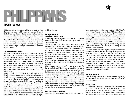

# PHILIPPANS

### **NASB (cont.)**

 14Do everything without complaining or arguing, 15so that you may become blameless and pure, children of God without fault in a crooked and depraved generation, in which you shine like stars in the universe 16as you hold out the word of life—in order that I may boast on the day of Christ that I did not run or labor for nothing. 17But even if I am being poured out like a drink offering on the sacrifice and service coming from your faith, I am glad and rejoice with all of you. 18So you too should be glad and rejoice with me.

#### *Timothy and Epaphroditus*

 19I hope in the Lord Jesus to send Timothy to you soon, that I also may be cheered when I receive news about you. 20I have no one else like him, who takes a genuine interest in your welfare. 21For everyone looks out for his own interests, not those of Jesus Christ. 22But you know that Timothy has proved himself, because as a son with his father he has served with me in the work of the gospel. 23I hope, therefore, to send him as soon as I see how things go with me. 24And I am confident in the Lord that I myself will come soon.

 25But I think it is necessary to send back to you Epaphroditus, my brother, fellow worker and fellow soldier, who is also your messenger, whom you sent to take care of my needs. 26For he longs for all of you and is distressed because you heard he was ill. 27Indeed he was ill, and almost died. But God had mercy on him, and not on him only but also on me, to spare me sorrow upon sorrow. 28Therefore I am all the more eager to send him, so that when you see him again you may be glad and I may have less anxiety. 29Welcome him in the Lord with great joy, and honor men like him, 30because he almost died for the work of Christ, risking his life to make up for the help you

could not give me.

#### **Philippians 3** *No Confidence in the Flesh*

 1Finally, my brothers, rejoice in the Lord! It is no trouble for me to write the same things to you again, and it is a safeguard for you.

 2Watch out for those dogs, those men who do evil, those mutilators of the flesh. 3For it is we who are the circumcision, we who worship by the Spirit of God, who glory in Christ Jesus, and who put no confidence in the flesh— 4though I myself have reasons for such confidence. If anyone else thinks he has reasons to put confidence in the flesh, I have more: 5circumcised on the eighth day, of the people of Israel, of the tribe of Benjamin, a Hebrew of Hebrews; in regard to the law, a Pharisee; 6as for zeal, persecuting the church; as for legalistic righteousness, faultless.

 7But whatever was to my profit I now consider loss for the sake of Christ. 8What is more, I consider everything a loss compared to the surpassing greatness of knowing Christ Jesus my Lord, for whose sake I have lost all things. I consider them rubbish, that I may gain Christ 9and be found in him, not having a righteousness of my own that comes from the law, but that which is through faith in Christ—the righteousness that comes from God and is by faith. 10I want to know Christ and the power of his resurrection and the fellowship of sharing in his sufferings, becoming like him in his death, 11and so, somehow, to attain to the resurrection from the dead.

#### *Pressing on Toward the Goal*

12Not that I have already obtained all this, or have already

been made perfect, but I press on to take hold of that for which Christ Jesus took hold of me. 13Brothers, I do not consider myself yet to have taken hold of it. But one thing I do: Forgetting what is behind and straining toward what is ahead, 14I press on toward the goal to win the prize for which God has called me heavenward in Christ Jesus.

 15All of us who are mature should take such a view of things. And if on some point you think differently, that too God will make clear to you. 16Only let us live up to what we have already attained.

 17Join with others in following my example, brothers, and take note of those who live according to the pattern we gave you. 18For, as I have often told you before and now say again even with tears, many live as enemies of the cross of Christ. 19Their destiny is destruction, their god is their stomach, and their glory is in their shame. Their mind is on earthly things. 20But our citizenship is in heaven. And we eagerly await a Savior from there, the Lord Jesus Christ, 21who, by the power that enables him to bring everything under his control, will transform our lowly bodies so that they will be like his glorious body.

#### **Philippians 4**

 1Therefore, my brothers, you whom I love and long for, my joy and crown, that is how you should stand firm in the Lord, dear friends!

#### *Exhortations*

 2I plead with Euodia and I plead with Syntyche to agree with each other in the Lord. 3Yes, and I ask you, loyal yokefellow, help these women who have contended at my side in the cause of the gospel, along with Clement and the rest of my fellow workers, whose names are in the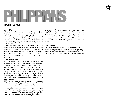

## **NASB (cont.)**

#### book of life.

 4Rejoice in the Lord always. I will say it again: Rejoice! 5Let your gentleness be evident to all. The Lord is near. 6Do not be anxious about anything, but in everything, by prayer and petition, with thanksgiving, present your requests to God. 7And the peace of God, which transcends all understanding, will guard your hearts and your minds in Christ Jesus.

 8Finally, brothers, whatever is true, whatever is noble, whatever is right, whatever is pure, whatever is lovely, whatever is admirable—if anything is excellent or praiseworthy—think about such things. 9Whatever you have learned or received or heard from me, or seen in me—put it into practice. And the God of peace will be with you.

#### Thanks for Their Gifts

 10I rejoice greatly in the Lord that at last you have renewed your concern for me. Indeed, you have been concerned, but you had no opportunity to show it. 11I am not saying this because I am in need, for I have learned to be content whatever the circumstances. 12I know what it is to be in need, and I know what it is to have plenty. I have learned the secret of being content in any and every situation, whether well fed or hungry, whether living in plenty or in want. 13I can do everything through him who gives me strength.

 14Yet it was good of you to share in my troubles. 15Moreover, as you Philippians know, in the early days of your acquaintance with the gospel, when I set out from Macedonia, not one church shared with me in the matter of giving and receiving, except you only; 16for even when I was in Thessalonica, you sent me aid again and again when I was in need. 17Not that I am looking for a gift, but I am looking for what may be credited to your account. 18I

have received full payment and even more; I am amply supplied, now that I have received from Epaphroditus the gifts you sent. They are a fragrant offering, an acceptable sacrifice, pleasing to God. 19And my God will meet all your needs according to his glorious riches in Christ Jesus. 20To our God and Father be glory for ever and ever. Amen.

#### *Final Greetings*

 21Greet all the saints in Christ Jesus. The brothers who are with me send greetings. 22All the saints send you greetings, especially those who belong to Caesar's household. 23The grace of the Lord Jesus Christ be with your spirit. Amen.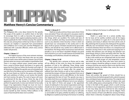

## $\bf PPAN$

### **Matthew Henry's Concise Commentary**

#### *Introduction*

The Philippians felt a very deep interest for the apostle. The scope of the epistle is to confirm them in the faith, to encourage them to walk as becomes the gospel of Christ, to caution them against judaizing teachers, and to express gratitude for their Christian bounty. This epistle is the only one, among those written by St. Paul, in which no censures are implied or expressed. Full commendation and confidence are in every part, and the Philippians are addressed with a peculiar affection, which every serious reader will perceive.

#### *Chapter 1, Verses 1-7*

The highest honour of the most eminent ministers is, to be servants of Christ. And those who are not really saints on earth, never will be saints in heaven. Out of Christ, the best saints are sinners, and unable to stand before God. There is no peace without grace. Inward peace springs from a sense of Divine favour. And there is no grace and peace but from God our Father, the fountain and origin of all blessings. At Philippi the apostle was evil entreated, and saw little fruit of his labour; yet he remembers Philippi with joy. We must thank our God for the graces and comforts, gifts and usefulness of others, as we receive the benefit, and God receives the glory. The work of grace will never be perfected till the day of Jesus Christ, the day of his appearance. But we may always be confident God will perform his good work, in every soul wherein he has really begun it by regeneration; though we must not trust in outward appearances, nor in any thing but a new creation to holiness. People are dear to their ministers, when they receive benefit by their ministry. Fellow-sufferers in the cause of God should be dear one to another.

#### *Chapter 1, Verses 8-11*

Shall not we pity and love those souls whom Christ loves and pities? Those who abound in any grace, need to abound more. Try things which differ; that we may approve the things which are excellent. The truths and laws of Christ are excellent; and they recommend themselves as such to any attentive mind. Sincerity is that in which we should have our conversation in the world, and it is the glory of all our graces. Christians should not be apt to take offence, and should be very careful not to offend God or the brethren. The things which most honour God will most benefit us. Let us not leave it doubtful whether any good fruit is found in us or not. A small measure of Christian love, knowledge, and fruitfulness should not satisfy any.

#### *Chapter 1, Verses 12-20*

The apostle was a prisoner at Rome; and to take off the offence of the cross, he shows the wisdom and goodness of God in his sufferings. These things made him known, where he would never have otherwise been known; and led some to inquire after the gospel. He suffered from false friends, as well as from enemies. How wretched the temper of those who preached Christ out of envy and contention, and to add affliction to the bonds that oppressed this best of men! The apostle was easy in the midst of all. Since our troubles may tend to the good of many, we ought to rejoice. Whatever turns to our salvation, is by the Spirit of Christ; and prayer is the appointed means of seeking for it. Our earnest expectation and hope should not be to be honoured of men, or to escape the cross, but to be upheld amidst temptation, contempt, and affliction. Let us leave it to Christ, which way he will make us serviceable to his glory, whether by labour or suffering, by diligence or patience, by living to his honour in working

for him, or dying to his honour in suffering for him.

#### *Chapter 1, Verses 21-26*

Death is a great loss to a carnal, worldly man, for he loses all his earthly comforts and all his hopes; but to a true believer it is gain, for it is the end of all his weakness and misery. It delivers him from all the evils of life, and brings him to possess the chief good. The apostle's difficulty was not between living in this world and living in heaven; between these two there is no comparison; but between serving Christ in this world and enjoying him in another. Not between two evil things, but between two good things; living to Christ and being with him. See the power of faith and of Divine grace; it can make us willing to die. In this world we are compassed with sin; but when with Christ, we shall escape sin and temptation, sorrow and death, for ever. But those who have most reason to desire to depart, should be willing to remain in the world as long as God has any work for them to do. And the more unexpected mercies are before they come, the more of God will be seen in them.

#### *Chapter 1, Verses 27-30*

Those who profess the gospel of Christ, should live as becomes those who believe gospel truths, submit to gospel laws, and depend upon gospel promises. The original word "conversation" denotes the conduct of citizens who seek the credit, safety, peace, and prosperity of their city. There is that in the faith of the gospel, which is worth striving for; there is much opposition, and there is need of striving. A man may sleep and go to hell; but he who would go to heaven, must look about him and be diligent. There may be oneness of heart and affection among Christians, where there is diversity of judgment about many things.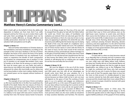

## PPAN

### **Matthew Henry's Concise Commentary (cont.)**

Faith is God's gift on the behalf of Christ; the ability and disposition to believe are from God. And if we suffer reproach and loss for Christ, we are to reckon them a gift, and prize them accordingly. Yet salvation must not be ascribed to bodily afflictions, as though afflictions and worldly persecutions deserved it; but from God only is salvation: faith and patience are his gifts.

#### *Chapter 2, Verses 1-4*

Here are further exhortations to Christian duties; to like-mindedness and lowly-mindedness, according to the example of the Lord Jesus. Kindness is the law of Christ's kingdom, the lesson of his school, the livery of his family. Several motives to brotherly love are mentioned. If you expect or experience the benefit of God's compassions to yourselves, be compassionate one to another. It is the joy of ministers to see people like-minded. Christ came to humble us, let there not be among us a spirit of pride. We must be severe upon our own faults, and quick in observing our own defects, but ready to make favourable allowances for others. We must kindly care for others, but not be busy-bodies in other men's matters. Neither inward nor outward peace can be enjoyed, without lowliness of mind.

#### *Chapter 2, Verses 5-11*

The example of our Lord Jesus Christ is set before us. We must resemble him in his life, if we would have the benefit of his death. Notice the two natures of Christ; his Divine nature, and human nature. Who being in the form of God, partaking the Divine nature, as the eternal and only-begotten Son of God, [John 1:1], had not thought it a robbery to be equal with God, and to receive Divine worship from men. His human nature; herein he became

like us in all things except sin. Thus low, of his own will, he stooped from the glory he had with the Father before the world was. Christ's two states, of humiliation and exaltation, are noticed. Christ not only took upon him the likeness and fashion, or form of a man, but of one in a low state; not appearing in splendour. His whole life was a life of poverty and suffering. But the lowest step was his dying the death of the cross, the death of a malefactor and a slave; exposed to public hatred and scorn. The exaltation was of Christ's human nature, in union with the Divine. At the name of Jesus, not the mere sound of the word, but the authority of Jesus, all should pay solemn homage. It is to the glory of God the Father, to confess that Jesus Christ is Lord; for it is his will, that all men should honour the Son as they honour the Father, [John 5:23] Here we see such motives to self-denying love as nothing else can supply. Do we thus love and obey the Son of God?

#### *Chapter 2, Verses 12-18*

We must be diligent in the use of all the means which lead to our salvation, persevering therein to the end. With great care, lest, with all our advantages, we should come short. Work out your salvation, for it is God who worketh in you. This encourages us to do our utmost, because our labour shall not be in vain: we must still depend on the grace of God. The working of God's grace in us, is to quicken and engage our endeavours. God's good-will to us, is the cause of his good work in us. Do your duty without murmurings. Do it, and do not find fault with it. Mind your work, and do not quarrel with it. By peaceableness; give no just occasion of offence. The children of God should differ from the sons of men. The more perverse others are, the more careful we should be to keep ourselves blameless and harmless. The doctrine

and example of consistent believers will enlighten others, and direct their way to Christ and holiness, even as the light-house warns mariners to avoid rocks, and directs their course into the harbour. Let us try thus to shine. The gospel is the word of life, it makes known to us eternal life through Jesus Christ. Running, denotes earnestness and vigour, continual pressing forward; labouring, denotes constancy, and close application. It is the will of God that believers should be much in rejoicing; and those who are so happy as to have good ministers, have great reason to rejoice with them. [Phil. 2:19-30]

#### *Chapter 2, Verses 19-30*

It is best with us, when our duty becomes natural to us. Naturally, that is, sincerely, and not in pretence only; with a willing heart and upright views. We are apt to prefer our own credit, ease, and safety, before truth, holiness, and duty; but Timothy did not so. Paul desired liberty, not that he might take pleasure, but that he might do good. Epaphroditus was willing to go to the Philippians, that he might be comforted with those who had sorrowed for him when he was sick. It seems, his illness was caused by the work of God. The apostle urges them to love him the more on that account. It is doubly pleasant to have our mercies restored by God, after great danger of their removal; and this should make them more valued. What is given in answer to prayer, should be received with great thankfulness and joy.

#### *Chapter 3, Verses 1-11*

Sincere Christians rejoice in Christ Jesus. The prophet calls the false prophets dumb dogs,[ Is. 56:10]; to which the apostle seems to refer. Dogs, for their malice against faithful professors of the gospel of Christ, barking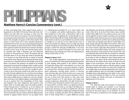## $\bf PPA$

**Matthew Henry's Concise Commentary (cont.)** 

at them and biting them. They urged human works in opposition to the faith of Christ; but Paul calls them evilworkers. He calls them the concision; as they rent the church of Christ, and cut it to pieces. The work of religion is to no purpose, unless the heart is in it, and we must worship God in the strength and grace of the Divine Spirit. They rejoice in Christ Jesus, not in mere outward enjoyments and performances. Nor can we too earnestly guard against those who oppose or abuse the doctrine of free salvation. If the apostle would have gloried and trusted in the flesh, he had as much cause as any man. But the things which he counted gain while a Pharisee, and had reckoned up, those he counted loss for Christ. The apostle did not persuade them to do any thing but what he himself did; or to venture on any thing but that on which he himself ventured his never-dying soul. He deemed all these things to be but loss, compared with the knowledge of Christ, by faith in his person and salvation. He speaks of all worldly enjoyments and outward privileges which sought a place with Christ in his heart, or could pretend to any merit and desert, and counted them but loss; but it might be said, It is easy to say so; but what would he do when he came to the trial? He had suffered the loss of all for the privileges of a Christian. Nay, he not only counted them loss, but the vilest refuse, offals thrown to dogs; not only less valuable than Christ, but in the highest degree contemptible, when set up as against him. True knowledge of Christ alters and changes men, their judgments and manners, and makes them as if made again anew. The believer prefers Christ, knowing that it is better for us to be without all worldly riches, than without Christ and his word. Let us see what the apostle resolved to cleave to, and that was Christ and heaven. We are undone, without righteousness wherein to appear before God, for we are guilty. There

is a righteousness provided for us in Jesus Christ, and it is a complete and perfect righteousness. None can have benefit by it, who trust in themselves. Faith is the appointed means of applying the saving benefit. It is by faith in Christ's blood. We are made conformable to Christ's death, when we die to sin, as he died for sin; and the world is crucified to us, and we to the world, by the cross of Christ. The apostle was willing to do or to suffer any thing, to attain the glorious resurrection of saints. This hope and prospect carried him through all difficulties in his work. He did not hope to attain it through his own merit and righteousness, but through the merit and righteousness of Jesus Christ. [Phil. 3:12-21]

#### *Chapter 3, Verses 12-21*

This simple dependence and earnestness of soul, were not mentioned as if the apostle had gained the prize, or were already made perfect in the Saviour's likeness. He forgot the things which were behind, so as not to be content with past labours or present measures of grace. He reached forth, stretched himself forward towards his point; expressions showing great concern to become more and more like unto Christ. He who runs a race, must never stop short of the end, but press forward as fast as he can; so those who have heaven in their view, must still press forward to it, in holy desires and hopes, and constant endeavours. Eternal life is the gift of God, but it is in Christ Jesus; through his hand it must come to us, as it is procured for us by him. There is no getting to heaven as our home, but by Christ as our Way. True believers, in seeking this assurance, as well as to glorify him, will seek more nearly to resemble his sufferings and death, by dying to sin, and by crucifying the flesh with its affections and lusts. In these things there is a great difference among

real Christians, but all know something of them. Believers make Christ all in all, and set their hearts upon another world. If they differ from one another, and are not of the same judgment in lesser matters, yet they must not judge one another; while they all meet now in Christ, and hope to meet shortly in heaven. Let them join in all the great things in which they are agreed, and wait for further light as to lesser things wherein they differ. The enemies of the cross of Christ mind nothing but their sensual appetites. Sin is the sinner's shame, especially when gloried in. The way of those who mind earthly things, may seem pleasant, but death and hell are at the end of it. If we choose their way, we shall share their end. The life of a Christian is in heaven, where his Head and his home are, and where he hopes to be shortly; he sets his affections upon things above; and where his heart is, there will his conversation be. There is glory kept for the bodies of the saints, in which they will appear at the resurrection. Then the body will be made glorious; not only raised again to life, but raised to great advantage. Observe the power by which this change will be wrought. May we be always prepared for the coming of our Judge; looking to have our vile bodies changed by his Almighty power, and applying to him daily to new-create our souls unto holiness; to deliver us from our enemies, and to employ our bodies and souls as instruments of righteousness in his service.

#### *Chapter 4, Verse 1*

The believing hope and prospect of eternal life, should make us steady and constant in our Christian course. There is difference of gifts and graces, yet, being renewed by the same Spirit, we are brethren. To stand fast in the Lord, is to stand fast in his strength, and by his grace.